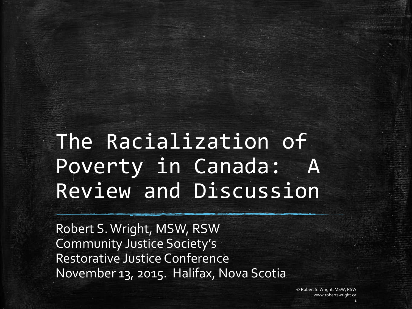## The Racialization of Poverty in Canada: A Review and Discussion

Robert S. Wright, MSW, RSW Community Justice Society's Restorative Justice Conference November 13, 2015. Halifax, Nova Scotia

> © Robert S. Wright, MSW, RSW www.robertswright.ca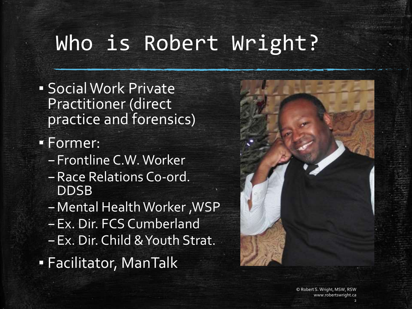# Who is Robert Wright?

**· Social Work Private** Practitioner (direct practice and forensics)

▪ Former:

- –Frontline C.W. Worker
- –Race Relations Co-ord. DDSB
- –Mental Health Worker ,WSP
- –Ex. Dir. FCS Cumberland
- –Ex. Dir. Child & Youth Strat.

▪ Facilitator, ManTalk

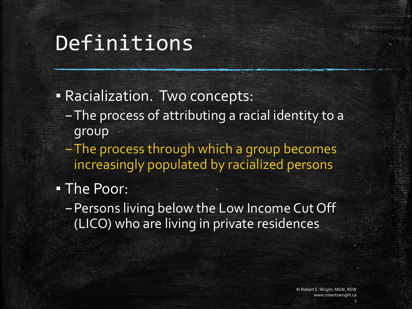#### Definitions

- **EXACTABLE PRACILLE PRACILLE PRACILLE PRACIALLE PRACIALLE PRACIALLE PRACTACT PRACTICLE** 
	- –The process of attributing a racial identity to a group
	- –The process through which a group becomes increasingly populated by racialized persons
- The Poor:
	- –Persons living below the Low Income Cut Off (LICO) who are living in private residences

© Robert S. Wright, MSW, RSW www.robertswright.ca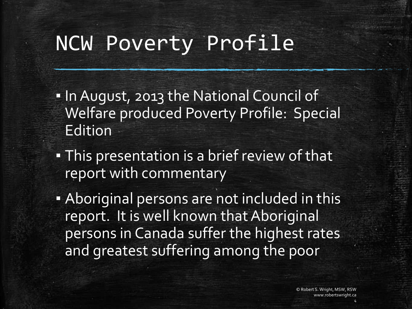#### NCW Poverty Profile

- . In August, 2013 the National Council of Welfare produced Poverty Profile: Special Edition
- **This presentation is a brief review of that** report with commentary
- **.** Aboriginal persons are not included in this report. It is well known that Aboriginal persons in Canada suffer the highest rates and greatest suffering among the poor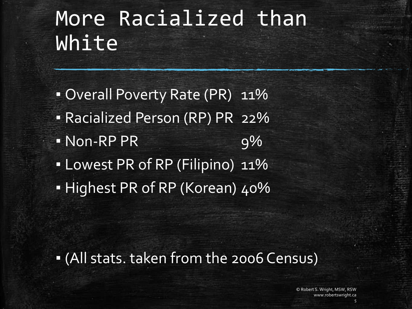## More Racialized than White

• Overall Poverty Rate (PR) 11% ▪ Racialized Person (RP) PR 22%  $\blacksquare$  Non-RP PR 9% ▪ Lowest PR of RP (Filipino) 11% ▪ Highest PR of RP (Korean) 40%

▪ (All stats. taken from the 2006 Census)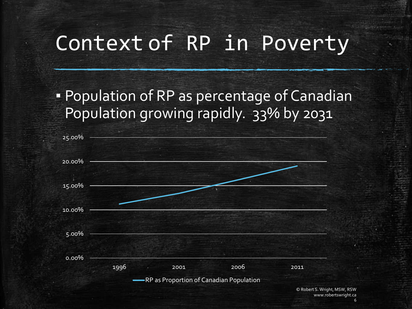### Context of RP in Poverty

**• Population of RP as percentage of Canadian** Population growing rapidly. 33% by 2031



www.robertswright.ca 6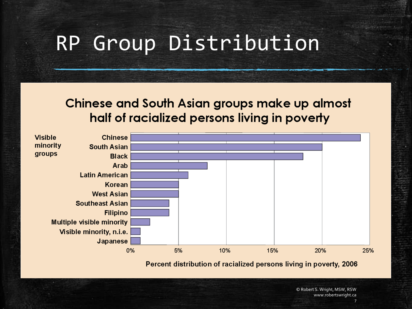### RP Group Distribution

#### Chinese and South Asian groups make up almost half of racialized persons living in poverty



Percent distribution of racialized persons living in poverty, 2006

© Robert S. Wright, MSW, RSW www.robertswright.ca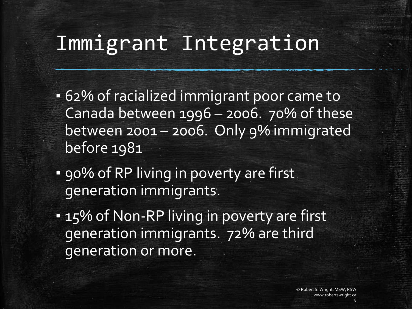### Immigrant Integration

- 62% of racialized immigrant poor came to Canada between 1996 – 2006. 70% of these between 2001 – 2006. Only 9% immigrated before 1981
- **.** 90% of RP living in poverty are first generation immigrants.
- **= 15% of Non-RP living in poverty are first** generation immigrants. 72% are third generation or more.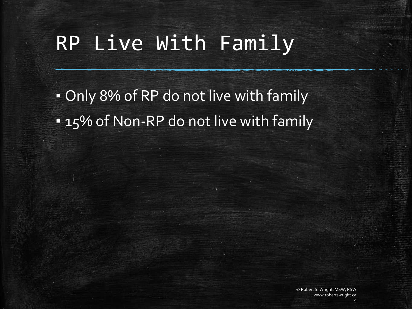## RP Live With Family

. Only 8% of RP do not live with family **.** 15% of Non-RP do not live with family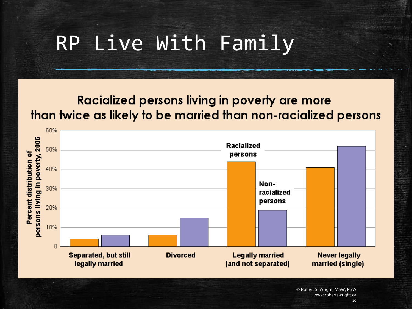## RP Live With Family

#### Racialized persons living in poverty are more than twice as likely to be married than non-racialized persons

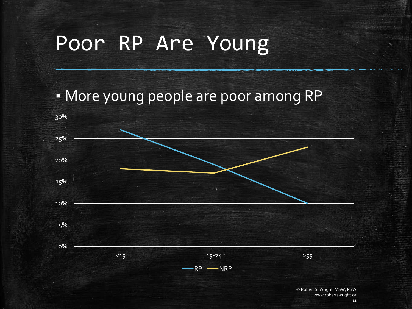## Poor RP Are Young

#### ▪ More young people are poor among RP

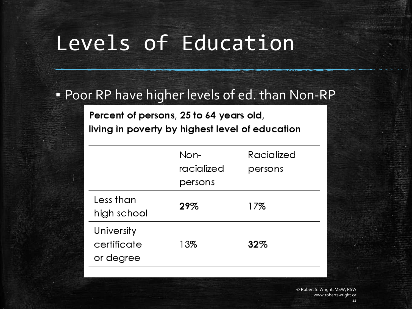## Levels of Education

#### **• Poor RP have higher levels of ed. than Non-RP**

Percent of persons, 25 to 64 years old, living in poverty by highest level of education

|                                        | Non-       | Racialized |
|----------------------------------------|------------|------------|
|                                        | racialized | persons    |
|                                        | persons    |            |
| Less than<br>high school               | 29%        | 17%        |
| University<br>certificate<br>or degree | 13%        | 32%        |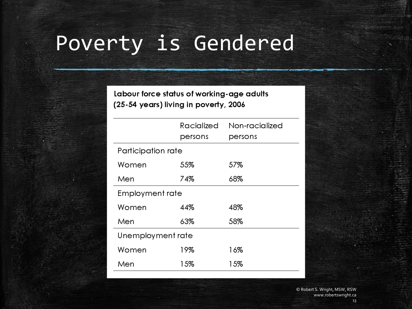# Poverty is Gendered

Labour force status of working-age adults (25-54 years) living in poverty, 2006

|                    | Racialized<br>persons | Non-racialized<br>persons |  |
|--------------------|-----------------------|---------------------------|--|
| Participation rate |                       |                           |  |
| Women              | 55%                   | 57%                       |  |
| Men                | 74%                   | 68%                       |  |
| Employment rate    |                       |                           |  |
| Women              | 44%                   | 48%                       |  |
| Men                | 63%                   | 58%                       |  |
| Unemployment rate  |                       |                           |  |
| Women              | 19%                   | 16%                       |  |
| Men                | 15%                   | 15%                       |  |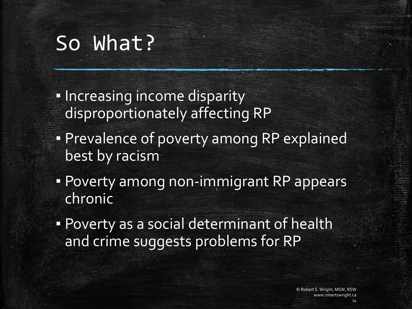### So What?

- **.** Increasing income disparity disproportionately affecting RP
- **Prevalence of poverty among RP explained** best by racism
- **Poverty among non-immigrant RP appears** chronic
- **Poverty as a social determinant of health** and crime suggests problems for RP